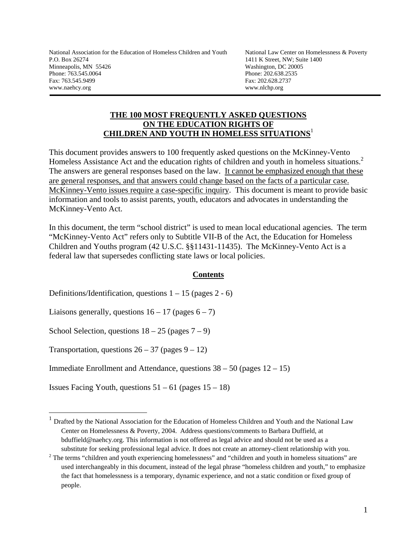National Association for the Education of Homeless Children and Youth National Law Center on Homelessness & Poverty P.O. Box 26274 1411 K Street, NW; Suite 1400 Minneapolis, MN 55426 Washington, DC 20005 Phone: 763.545.0064 Phone: 202.638.2535 Fax: 763.545.9499 Fax: 202.628.2737 www.naehcy.org www.nlchp.org

j

 $\overline{a}$ 

## **THE 100 MOST FREQUENTLY ASKED QUESTIONS ON THE EDUCATION RIGHTS OF CHILDREN AND YOUTH IN HOMELESS SITUATIONS**<sup>1</sup>

This document provides answers to 100 frequently asked questions on the McKinney-Vento Homeless Assistance Act and the education rights of children and youth in homeless situations.<sup>2</sup> The answers are general responses based on the law. It cannot be emphasized enough that these are general responses, and that answers could change based on the facts of a particular case. McKinney-Vento issues require a case-specific inquiry. This document is meant to provide basic information and tools to assist parents, youth, educators and advocates in understanding the McKinney-Vento Act.

In this document, the term "school district" is used to mean local educational agencies. The term "McKinney-Vento Act" refers only to Subtitle VII-B of the Act, the Education for Homeless Children and Youths program (42 U.S.C. §§11431-11435). The McKinney-Vento Act is a federal law that supersedes conflicting state laws or local policies.

## **Contents**

Definitions/Identification, questions  $1 - 15$  (pages  $2 - 6$ )

Liaisons generally, questions  $16 - 17$  (pages  $6 - 7$ )

School Selection, questions  $18 - 25$  (pages  $7 - 9$ )

Transportation, questions  $26 - 37$  (pages  $9 - 12$ )

Immediate Enrollment and Attendance, questions  $38 - 50$  (pages  $12 - 15$ )

Issues Facing Youth, questions  $51 - 61$  (pages  $15 - 18$ )

 $1$  Drafted by the National Association for the Education of Homeless Children and Youth and the National Law Center on Homelessness & Poverty, 2004. Address questions/comments to Barbara Duffield, at bduffield@naehcy.org. This information is not offered as legal advice and should not be used as a substitute for seeking professional legal advice. It does not create an attorney-client relationship with you.

 $2$  The terms "children and youth experiencing homelessness" and "children and youth in homeless situations" are used interchangeably in this document, instead of the legal phrase "homeless children and youth," to emphasize the fact that homelessness is a temporary, dynamic experience, and not a static condition or fixed group of people.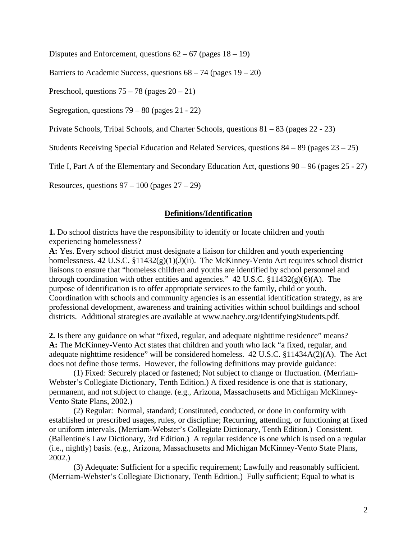Disputes and Enforcement, questions  $62 - 67$  (pages  $18 - 19$ )

Barriers to Academic Success, questions  $68 - 74$  (pages  $19 - 20$ )

Preschool, questions  $75 - 78$  (pages  $20 - 21$ )

Segregation, questions 79 – 80 (pages 21 - 22)

Private Schools, Tribal Schools, and Charter Schools, questions 81 – 83 (pages 22 - 23)

Students Receiving Special Education and Related Services, questions 84 – 89 (pages 23 – 25)

Title I, Part A of the Elementary and Secondary Education Act, questions 90 – 96 (pages 25 - 27)

Resources, questions  $97 - 100$  (pages  $27 - 29$ )

#### **Definitions/Identification**

**1.** Do school districts have the responsibility to identify or locate children and youth experiencing homelessness?

**A:** Yes. Every school district must designate a liaison for children and youth experiencing homelessness. 42 U.S.C.  $\S 11432(g)(1)(J)(ii)$ . The McKinney-Vento Act requires school district liaisons to ensure that "homeless children and youths are identified by school personnel and through coordination with other entities and agencies."  $42 \text{ U.S.C. } $11432(g)(6)(\text{A})$ . The purpose of identification is to offer appropriate services to the family, child or youth. Coordination with schools and community agencies is an essential identification strategy, as are professional development, awareness and training activities within school buildings and school districts. Additional strategies are available at www.naehcy.org/IdentifyingStudents.pdf.

**2.** Is there any guidance on what "fixed, regular, and adequate nighttime residence" means? **A:** The McKinney-Vento Act states that children and youth who lack "a fixed, regular, and adequate nighttime residence" will be considered homeless. 42 U.S.C. §11434A(2)(A). The Act does not define those terms. However, the following definitions may provide guidance:

 (1) Fixed: Securely placed or fastened; Not subject to change or fluctuation. (Merriam-Webster's Collegiate Dictionary, Tenth Edition.) A fixed residence is one that is stationary, permanent, and not subject to change. (e.g., Arizona, Massachusetts and Michigan McKinney-Vento State Plans, 2002.)

(2) Regular: Normal, standard; Constituted, conducted, or done in conformity with established or prescribed usages, rules, or discipline; Recurring, attending, or functioning at fixed or uniform intervals. (Merriam-Webster's Collegiate Dictionary, Tenth Edition.) Consistent. (Ballentine's Law Dictionary, 3rd Edition.) A regular residence is one which is used on a regular (i.e., nightly) basis. (e.g., Arizona, Massachusetts and Michigan McKinney-Vento State Plans, 2002.)

 (3) Adequate: Sufficient for a specific requirement; Lawfully and reasonably sufficient. (Merriam-Webster's Collegiate Dictionary, Tenth Edition.)Fully sufficient; Equal to what is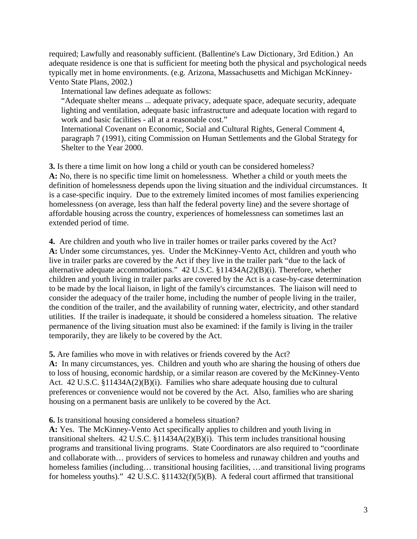required; Lawfully and reasonably sufficient. (Ballentine's Law Dictionary, 3rd Edition.) An adequate residence is one that is sufficient for meeting both the physical and psychological needs typically met in home environments. (e.g. Arizona, Massachusetts and Michigan McKinney-Vento State Plans, 2002.)

International law defines adequate as follows:

"Adequate shelter means ... adequate privacy, adequate space, adequate security, adequate lighting and ventilation, adequate basic infrastructure and adequate location with regard to work and basic facilities - all at a reasonable cost."

International Covenant on Economic, Social and Cultural Rights, General Comment 4, paragraph 7 (1991), citing Commission on Human Settlements and the Global Strategy for Shelter to the Year 2000.

**3.** Is there a time limit on how long a child or youth can be considered homeless? **A:** No, there is no specific time limit on homelessness. Whether a child or youth meets the definition of homelessness depends upon the living situation and the individual circumstances. It is a case-specific inquiry. Due to the extremely limited incomes of most families experiencing homelessness (on average, less than half the federal poverty line) and the severe shortage of affordable housing across the country, experiences of homelessness can sometimes last an extended period of time.

**4.** Are children and youth who live in trailer homes or trailer parks covered by the Act? **A:** Under some circumstances, yes. Under the McKinney-Vento Act, children and youth who live in trailer parks are covered by the Act if they live in the trailer park "due to the lack of alternative adequate accommodations." 42 U.S.C. §11434A(2)(B)(i). Therefore, whether children and youth living in trailer parks are covered by the Act is a case-by-case determination to be made by the local liaison, in light of the family's circumstances. The liaison will need to consider the adequacy of the trailer home, including the number of people living in the trailer, the condition of the trailer, and the availability of running water, electricity, and other standard utilities. If the trailer is inadequate, it should be considered a homeless situation. The relative permanence of the living situation must also be examined: if the family is living in the trailer temporarily, they are likely to be covered by the Act.

**5.** Are families who move in with relatives or friends covered by the Act?

**A:** In many circumstances, yes. Children and youth who are sharing the housing of others due to loss of housing, economic hardship, or a similar reason are covered by the McKinney-Vento Act. 42 U.S.C. §11434A(2)(B)(i). Families who share adequate housing due to cultural preferences or convenience would not be covered by the Act. Also, families who are sharing housing on a permanent basis are unlikely to be covered by the Act.

**6.** Is transitional housing considered a homeless situation?

**A:** Yes. The McKinney-Vento Act specifically applies to children and youth living in transitional shelters.  $42 \text{ U.S.C. } $11434A(2)(B)(i)$ . This term includes transitional housing programs and transitional living programs. State Coordinators are also required to "coordinate and collaborate with… providers of services to homeless and runaway children and youths and homeless families (including... transitional housing facilities, ... and transitional living programs for homeless youths)." 42 U.S.C. §11432(f)(5)(B). A federal court affirmed that transitional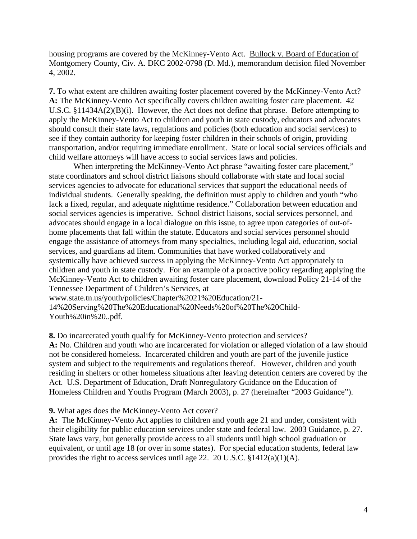housing programs are covered by the McKinney-Vento Act. Bullock v. Board of Education of Montgomery County, Civ. A. DKC 2002-0798 (D. Md.), memorandum decision filed November 4, 2002.

**7.** To what extent are children awaiting foster placement covered by the McKinney-Vento Act? **A:** The McKinney-Vento Act specifically covers children awaiting foster care placement. 42 U.S.C. §11434A(2)(B)(i). However, the Act does not define that phrase. Before attempting to apply the McKinney-Vento Act to children and youth in state custody, educators and advocates should consult their state laws, regulations and policies (both education and social services) to see if they contain authority for keeping foster children in their schools of origin, providing transportation, and/or requiring immediate enrollment. State or local social services officials and child welfare attorneys will have access to social services laws and policies.

When interpreting the McKinney-Vento Act phrase "awaiting foster care placement," state coordinators and school district liaisons should collaborate with state and local social services agencies to advocate for educational services that support the educational needs of individual students. Generally speaking, the definition must apply to children and youth "who lack a fixed, regular, and adequate nighttime residence." Collaboration between education and social services agencies is imperative. School district liaisons, social services personnel, and advocates should engage in a local dialogue on this issue, to agree upon categories of out-ofhome placements that fall within the statute. Educators and social services personnel should engage the assistance of attorneys from many specialties, including legal aid, education, social services, and guardians ad litem. Communities that have worked collaboratively and systemically have achieved success in applying the McKinney-Vento Act appropriately to children and youth in state custody. For an example of a proactive policy regarding applying the McKinney-Vento Act to children awaiting foster care placement, download Policy 21-14 of the Tennessee Department of Children's Services, at

www.state.tn.us/youth/policies/Chapter%2021%20Education/21-

14%20Serving%20The%20Educational%20Needs%20of%20The%20Child-Youth%20in%20..pdf.

**8.** Do incarcerated youth qualify for McKinney-Vento protection and services? **A:** No. Children and youth who are incarcerated for violation or alleged violation of a law should not be considered homeless. Incarcerated children and youth are part of the juvenile justice system and subject to the requirements and regulations thereof. However, children and youth residing in shelters or other homeless situations after leaving detention centers are covered by the Act. U.S. Department of Education, Draft Nonregulatory Guidance on the Education of Homeless Children and Youths Program (March 2003), p. 27 (hereinafter "2003 Guidance").

## **9.** What ages does the McKinney-Vento Act cover?

**A:** The McKinney-Vento Act applies to children and youth age 21 and under, consistent with their eligibility for public education services under state and federal law. 2003 Guidance, p. 27. State laws vary, but generally provide access to all students until high school graduation or equivalent, or until age 18 (or over in some states). For special education students, federal law provides the right to access services until age 22. 20 U.S.C.  $$1412(a)(1)(A)$ .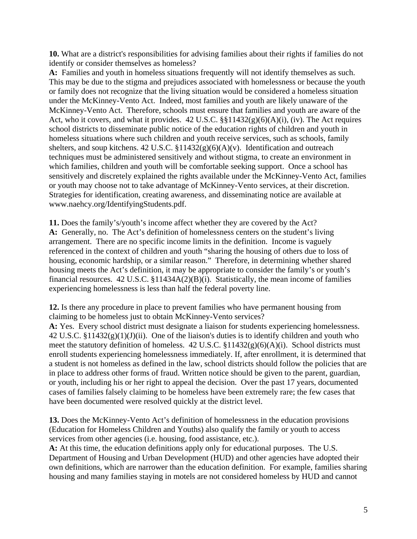**10.** What are a district's responsibilities for advising families about their rights if families do not identify or consider themselves as homeless?

**A:** Families and youth in homeless situations frequently will not identify themselves as such. This may be due to the stigma and prejudices associated with homelessness or because the youth or family does not recognize that the living situation would be considered a homeless situation under the McKinney-Vento Act. Indeed, most families and youth are likely unaware of the McKinney-Vento Act. Therefore, schools must ensure that families and youth are aware of the Act, who it covers, and what it provides.  $42 \text{ U.S.C.}$  §§11432(g)(6)(A)(i), (iv). The Act requires school districts to disseminate public notice of the education rights of children and youth in homeless situations where such children and youth receive services, such as schools, family shelters, and soup kitchens. 42 U.S.C. §11432(g)(6)(A)(v). Identification and outreach techniques must be administered sensitively and without stigma, to create an environment in which families, children and youth will be comfortable seeking support. Once a school has sensitively and discretely explained the rights available under the McKinney-Vento Act, families or youth may choose not to take advantage of McKinney-Vento services, at their discretion. Strategies for identification, creating awareness, and disseminating notice are available at www.naehcy.org/IdentifyingStudents.pdf.

**11.** Does the family's/youth's income affect whether they are covered by the Act? **A:** Generally, no. The Act's definition of homelessness centers on the student's living arrangement. There are no specific income limits in the definition. Income is vaguely referenced in the context of children and youth "sharing the housing of others due to loss of housing, economic hardship, or a similar reason." Therefore, in determining whether shared housing meets the Act's definition, it may be appropriate to consider the family's or youth's financial resources. 42 U.S.C. §11434A(2)(B)(i). Statistically, the mean income of families experiencing homelessness is less than half the federal poverty line.

**12.** Is there any procedure in place to prevent families who have permanent housing from claiming to be homeless just to obtain McKinney-Vento services?

**A:** Yes. Every school district must designate a liaison for students experiencing homelessness. 42 U.S.C.  $\S 11432(g)(1)(J)(ii)$ . One of the liaison's duties is to identify children and youth who meet the statutory definition of homeless. 42 U.S.C. §11432(g)(6)(A)(i). School districts must enroll students experiencing homelessness immediately. If, after enrollment, it is determined that a student is not homeless as defined in the law, school districts should follow the policies that are in place to address other forms of fraud. Written notice should be given to the parent, guardian, or youth, including his or her right to appeal the decision. Over the past 17 years, documented cases of families falsely claiming to be homeless have been extremely rare; the few cases that have been documented were resolved quickly at the district level.

**13.** Does the McKinney-Vento Act's definition of homelessness in the education provisions (Education for Homeless Children and Youths) also qualify the family or youth to access services from other agencies (i.e. housing, food assistance, etc.).

**A:** At this time, the education definitions apply only for educational purposes. The U.S. Department of Housing and Urban Development (HUD) and other agencies have adopted their own definitions, which are narrower than the education definition. For example, families sharing housing and many families staying in motels are not considered homeless by HUD and cannot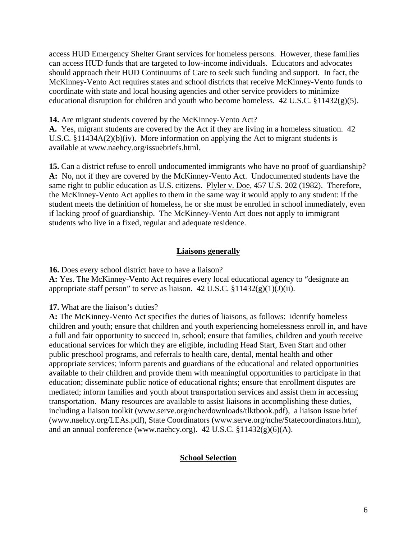access HUD Emergency Shelter Grant services for homeless persons. However, these families can access HUD funds that are targeted to low-income individuals. Educators and advocates should approach their HUD Continuums of Care to seek such funding and support. In fact, the McKinney-Vento Act requires states and school districts that receive McKinney-Vento funds to coordinate with state and local housing agencies and other service providers to minimize educational disruption for children and youth who become homeless. 42 U.S.C. §11432(g)(5).

**14.** Are migrant students covered by the McKinney-Vento Act?

**A.** Yes, migrant students are covered by the Act if they are living in a homeless situation. 42 U.S.C. §11434A(2)(b)(iv). More information on applying the Act to migrant students is available at www.naehcy.org/issuebriefs.html.

**15.** Can a district refuse to enroll undocumented immigrants who have no proof of guardianship? **A:** No, not if they are covered by the McKinney-Vento Act. Undocumented students have the same right to public education as U.S. citizens. Plyler v. Doe, 457 U.S. 202 (1982). Therefore, the McKinney-Vento Act applies to them in the same way it would apply to any student: if the student meets the definition of homeless, he or she must be enrolled in school immediately, even if lacking proof of guardianship. The McKinney-Vento Act does not apply to immigrant students who live in a fixed, regular and adequate residence.

#### **Liaisons generally**

**16.** Does every school district have to have a liaison? **A:** Yes. The McKinney-Vento Act requires every local educational agency to "designate an appropriate staff person" to serve as liaison. 42 U.S.C.  $\frac{11432(g)(1)(J)(ii)}{11}$ .

**17.** What are the liaison's duties?

**A:** The McKinney-Vento Act specifies the duties of liaisons, as follows: identify homeless children and youth; ensure that children and youth experiencing homelessness enroll in, and have a full and fair opportunity to succeed in, school; ensure that families, children and youth receive educational services for which they are eligible, including Head Start, Even Start and other public preschool programs, and referrals to health care, dental, mental health and other appropriate services; inform parents and guardians of the educational and related opportunities available to their children and provide them with meaningful opportunities to participate in that education; disseminate public notice of educational rights; ensure that enrollment disputes are mediated; inform families and youth about transportation services and assist them in accessing transportation. Many resources are available to assist liaisons in accomplishing these duties, including a liaison toolkit (www.serve.org/nche/downloads/tlktbook.pdf), a liaison issue brief (www.naehcy.org/LEAs.pdf), State Coordinators (www.serve.org/nche/Statecoordinators.htm), and an annual conference (www.naehcy.org).  $42 \text{ U.S.C. } $11432(g)(6)(\text{A}).$ 

#### **School Selection**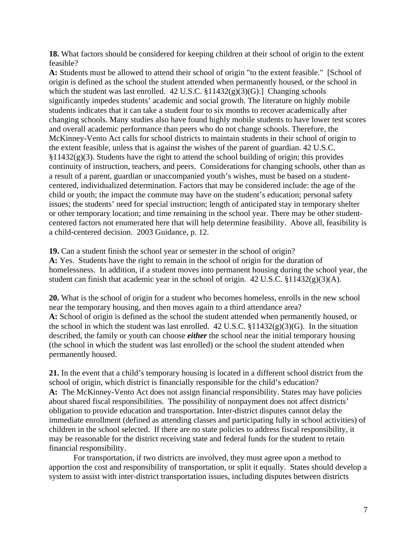**18.** What factors should be considered for keeping children at their school of origin to the extent feasible?

**A:** Students must be allowed to attend their school of origin "to the extent feasible." [School of origin is defined as the school the student attended when permanently housed, or the school in which the student was last enrolled.  $42 \text{ U.S.C. } $11432(g)(3)(G)$ . Changing schools significantly impedes students' academic and social growth. The literature on highly mobile students indicates that it can take a student four to six months to recover academically after changing schools. Many studies also have found highly mobile students to have lower test scores and overall academic performance than peers who do not change schools. Therefore, the McKinney-Vento Act calls for school districts to maintain students in their school of origin to the extent feasible, unless that is against the wishes of the parent of guardian. 42 U.S.C.  $§11432(g)(3)$ . Students have the right to attend the school building of origin; this provides continuity of instruction, teachers, and peers. Considerations for changing schools, other than as a result of a parent, guardian or unaccompanied youth's wishes, must be based on a studentcentered, individualized determination. Factors that may be considered include: the age of the child or youth; the impact the commute may have on the student's education; personal safety issues; the students' need for special instruction; length of anticipated stay in temporary shelter or other temporary location; and time remaining in the school year. There may be other studentcentered factors not enumerated here that will help determine feasibility. Above all, feasibility is a child-centered decision. 2003 Guidance, p. 12.

**19.** Can a student finish the school year or semester in the school of origin? **A:** Yes. Students have the right to remain in the school of origin for the duration of homelessness. In addition, if a student moves into permanent housing during the school year, the student can finish that academic year in the school of origin. 42 U.S.C. §11432(g)(3)(A).

**20.** What is the school of origin for a student who becomes homeless, enrolls in the new school near the temporary housing, and then moves again to a third attendance area? **A:** School of origin is defined as the school the student attended when permanently housed, or the school in which the student was last enrolled.  $42 \text{ U.S.C. } $11432(g)(3)(G)$ . In the situation described, the family or youth can choose *either* the school near the initial temporary housing (the school in which the student was last enrolled) or the school the student attended when permanently housed.

**21.** In the event that a child's temporary housing is located in a different school district from the school of origin, which district is financially responsible for the child's education? **A:** The McKinney-Vento Act does not assign financial responsibility. States may have policies about shared fiscal responsibilities. The possibility of nonpayment does not affect districts' obligation to provide education and transportation. Inter-district disputes cannot delay the immediate enrollment (defined as attending classes and participating fully in school activities) of children in the school selected. If there are no state policies to address fiscal responsibility, it may be reasonable for the district receiving state and federal funds for the student to retain financial responsibility.

For transportation, if two districts are involved, they must agree upon a method to apportion the cost and responsibility of transportation, or split it equally. States should develop a system to assist with inter-district transportation issues, including disputes between districts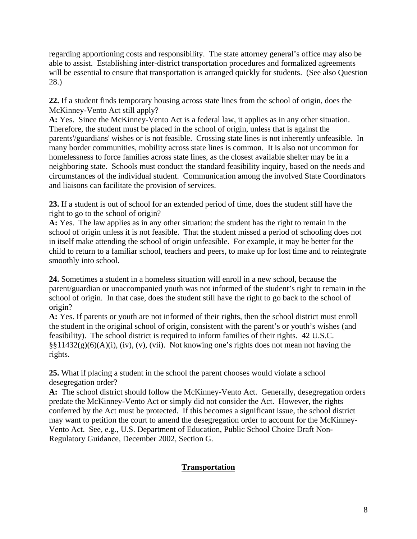regarding apportioning costs and responsibility. The state attorney general's office may also be able to assist. Establishing inter-district transportation procedures and formalized agreements will be essential to ensure that transportation is arranged quickly for students. (See also Question 28.)

**22.** If a student finds temporary housing across state lines from the school of origin, does the McKinney-Vento Act still apply?

**A:** Yes. Since the McKinney-Vento Act is a federal law, it applies as in any other situation. Therefore, the student must be placed in the school of origin, unless that is against the parents'/guardians' wishes or is not feasible. Crossing state lines is not inherently unfeasible. In many border communities, mobility across state lines is common. It is also not uncommon for homelessness to force families across state lines, as the closest available shelter may be in a neighboring state. Schools must conduct the standard feasibility inquiry, based on the needs and circumstances of the individual student. Communication among the involved State Coordinators and liaisons can facilitate the provision of services.

**23.** If a student is out of school for an extended period of time, does the student still have the right to go to the school of origin?

**A:** Yes. The law applies as in any other situation: the student has the right to remain in the school of origin unless it is not feasible. That the student missed a period of schooling does not in itself make attending the school of origin unfeasible. For example, it may be better for the child to return to a familiar school, teachers and peers, to make up for lost time and to reintegrate smoothly into school.

**24.** Sometimes a student in a homeless situation will enroll in a new school, because the parent/guardian or unaccompanied youth was not informed of the student's right to remain in the school of origin. In that case, does the student still have the right to go back to the school of origin?

**A:** Yes. If parents or youth are not informed of their rights, then the school district must enroll the student in the original school of origin, consistent with the parent's or youth's wishes (and feasibility). The school district is required to inform families of their rights. 42 U.S.C.  $\S\S11432(g)(6)(A)(i)$ , (iv), (v), (vii). Not knowing one's rights does not mean not having the rights.

**25.** What if placing a student in the school the parent chooses would violate a school desegregation order?

**A:** The school district should follow the McKinney-Vento Act. Generally, desegregation orders predate the McKinney-Vento Act or simply did not consider the Act. However, the rights conferred by the Act must be protected. If this becomes a significant issue, the school district may want to petition the court to amend the desegregation order to account for the McKinney-Vento Act. See, e.g., U.S. Department of Education, Public School Choice Draft Non-Regulatory Guidance, December 2002, Section G.

# **Transportation**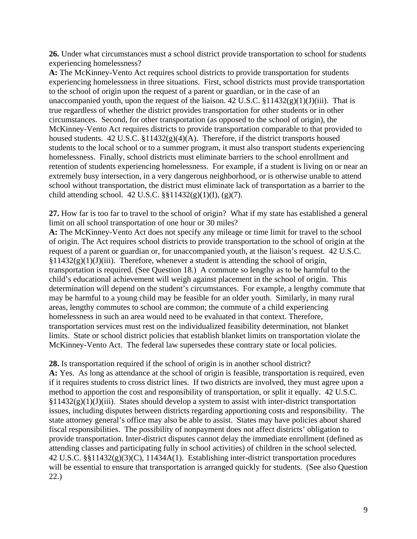**26.** Under what circumstances must a school district provide transportation to school for students experiencing homelessness?

**A:** The McKinney-Vento Act requires school districts to provide transportation for students experiencing homelessness in three situations. First, school districts must provide transportation to the school of origin upon the request of a parent or guardian, or in the case of an unaccompanied youth, upon the request of the liaison.  $42$  U.S.C.  $$11432(g)(1)(J)(iii)$ . That is true regardless of whether the district provides transportation for other students or in other circumstances. Second, for other transportation (as opposed to the school of origin), the McKinney-Vento Act requires districts to provide transportation comparable to that provided to housed students. 42 U.S.C. §11432(g)(4)(A). Therefore, if the district transports housed students to the local school or to a summer program, it must also transport students experiencing homelessness. Finally, school districts must eliminate barriers to the school enrollment and retention of students experiencing homelessness. For example, if a student is living on or near an extremely busy intersection, in a very dangerous neighborhood, or is otherwise unable to attend school without transportation, the district must eliminate lack of transportation as a barrier to the child attending school. 42 U.S.C.  $\S$ §11432(g)(1)(I), (g)(7).

**27.** How far is too far to travel to the school of origin? What if my state has established a general limit on all school transportation of one hour or 30 miles?

**A:** The McKinney-Vento Act does not specify any mileage or time limit for travel to the school of origin. The Act requires school districts to provide transportation to the school of origin at the request of a parent or guardian or, for unaccompanied youth, at the liaison's request. 42 U.S.C.  $§11432(g)(1)(J)(iii)$ . Therefore, whenever a student is attending the school of origin, transportation is required. (See Question 18.) A commute so lengthy as to be harmful to the child's educational achievement will weigh against placement in the school of origin. This determination will depend on the student's circumstances. For example, a lengthy commute that may be harmful to a young child may be feasible for an older youth. Similarly, in many rural areas, lengthy commutes to school are common; the commute of a child experiencing homelessness in such an area would need to be evaluated in that context. Therefore, transportation services must rest on the individualized feasibility determination, not blanket limits. State or school district policies that establish blanket limits on transportation violate the McKinney-Vento Act. The federal law supersedes these contrary state or local policies.

**28.** Is transportation required if the school of origin is in another school district? **A:** Yes. As long as attendance at the school of origin is feasible, transportation is required, even if it requires students to cross district lines. If two districts are involved, they must agree upon a method to apportion the cost and responsibility of transportation, or split it equally. 42 U.S.C.  $§11432(g)(1)(J)(iii)$ . States should develop a system to assist with inter-district transportation issues, including disputes between districts regarding apportioning costs and responsibility. The state attorney general's office may also be able to assist. States may have policies about shared fiscal responsibilities. The possibility of nonpayment does not affect districts' obligation to provide transportation. Inter-district disputes cannot delay the immediate enrollment (defined as attending classes and participating fully in school activities) of children in the school selected. 42 U.S.C. §§11432(g)(3)(C), 11434A(1). Establishing inter-district transportation procedures will be essential to ensure that transportation is arranged quickly for students. (See also Question 22.)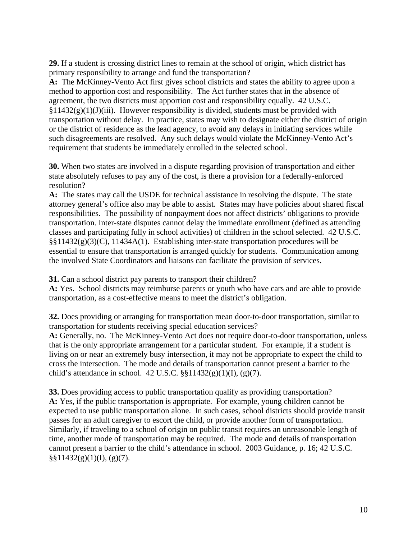**29.** If a student is crossing district lines to remain at the school of origin, which district has primary responsibility to arrange and fund the transportation?

**A:** The McKinney-Vento Act first gives school districts and states the ability to agree upon a method to apportion cost and responsibility. The Act further states that in the absence of agreement, the two districts must apportion cost and responsibility equally. 42 U.S.C.  $§11432(g)(1)(J)(iii)$ . However responsibility is divided, students must be provided with transportation without delay. In practice, states may wish to designate either the district of origin or the district of residence as the lead agency, to avoid any delays in initiating services while such disagreements are resolved. Any such delays would violate the McKinney-Vento Act's requirement that students be immediately enrolled in the selected school.

**30.** When two states are involved in a dispute regarding provision of transportation and either state absolutely refuses to pay any of the cost, is there a provision for a federally-enforced resolution?

**A:** The states may call the USDE for technical assistance in resolving the dispute. The state attorney general's office also may be able to assist. States may have policies about shared fiscal responsibilities. The possibility of nonpayment does not affect districts' obligations to provide transportation. Inter-state disputes cannot delay the immediate enrollment (defined as attending classes and participating fully in school activities) of children in the school selected. 42 U.S.C. §§11432(g)(3)(C), 11434A(1). Establishing inter-state transportation procedures will be essential to ensure that transportation is arranged quickly for students. Communication among the involved State Coordinators and liaisons can facilitate the provision of services.

**31.** Can a school district pay parents to transport their children?

**A:** Yes. School districts may reimburse parents or youth who have cars and are able to provide transportation, as a cost-effective means to meet the district's obligation.

**32.** Does providing or arranging for transportation mean door-to-door transportation, similar to transportation for students receiving special education services?

**A:** Generally, no. The McKinney-Vento Act does not require door-to-door transportation, unless that is the only appropriate arrangement for a particular student. For example, if a student is living on or near an extremely busy intersection, it may not be appropriate to expect the child to cross the intersection. The mode and details of transportation cannot present a barrier to the child's attendance in school. 42 U.S.C.  $\S$ [1432(g)(1)(I), (g)(7).

**33.** Does providing access to public transportation qualify as providing transportation? **A:** Yes, if the public transportation is appropriate. For example, young children cannot be expected to use public transportation alone. In such cases, school districts should provide transit passes for an adult caregiver to escort the child, or provide another form of transportation. Similarly, if traveling to a school of origin on public transit requires an unreasonable length of time, another mode of transportation may be required. The mode and details of transportation cannot present a barrier to the child's attendance in school. 2003 Guidance, p. 16; 42 U.S.C.  $\S$ §11432(g)(1)(I), (g)(7).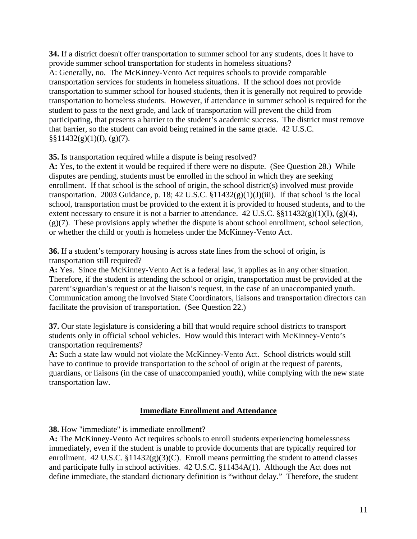**34.** If a district doesn't offer transportation to summer school for any students, does it have to provide summer school transportation for students in homeless situations? A: Generally, no. The McKinney-Vento Act requires schools to provide comparable transportation services for students in homeless situations. If the school does not provide transportation to summer school for housed students, then it is generally not required to provide transportation to homeless students. However, if attendance in summer school is required for the student to pass to the next grade, and lack of transportation will prevent the child from participating, that presents a barrier to the student's academic success. The district must remove that barrier, so the student can avoid being retained in the same grade. 42 U.S.C.  $\S$ §11432(g)(1)(I), (g)(7).

**35.** Is transportation required while a dispute is being resolved?

**A:** Yes, to the extent it would be required if there were no dispute. (See Question 28.) While disputes are pending, students must be enrolled in the school in which they are seeking enrollment. If that school is the school of origin, the school district(s) involved must provide transportation. 2003 Guidance, p. 18; 42 U.S.C.  $$11432(g)(1)(J)(iii)$ . If that school is the local school, transportation must be provided to the extent it is provided to housed students, and to the extent necessary to ensure it is not a barrier to attendance. 42 U.S.C.  $\S$ [1432(g)(1)(I), (g)(4), (g)(7). These provisions apply whether the dispute is about school enrollment, school selection, or whether the child or youth is homeless under the McKinney-Vento Act.

**36.** If a student's temporary housing is across state lines from the school of origin, is transportation still required?

**A:** Yes. Since the McKinney-Vento Act is a federal law, it applies as in any other situation. Therefore, if the student is attending the school or origin, transportation must be provided at the parent's/guardian's request or at the liaison's request, in the case of an unaccompanied youth. Communication among the involved State Coordinators, liaisons and transportation directors can facilitate the provision of transportation. (See Question 22.)

**37.** Our state legislature is considering a bill that would require school districts to transport students only in official school vehicles. How would this interact with McKinney-Vento's transportation requirements?

**A:** Such a state law would not violate the McKinney-Vento Act. School districts would still have to continue to provide transportation to the school of origin at the request of parents, guardians, or liaisons (in the case of unaccompanied youth), while complying with the new state transportation law.

## **Immediate Enrollment and Attendance**

**38.** How "immediate" is immediate enrollment?

**A:** The McKinney-Vento Act requires schools to enroll students experiencing homelessness immediately, even if the student is unable to provide documents that are typically required for enrollment. 42 U.S.C.  $\S11432(g)(3)(C)$ . Enroll means permitting the student to attend classes and participate fully in school activities. 42 U.S.C. §11434A(1). Although the Act does not define immediate, the standard dictionary definition is "without delay." Therefore, the student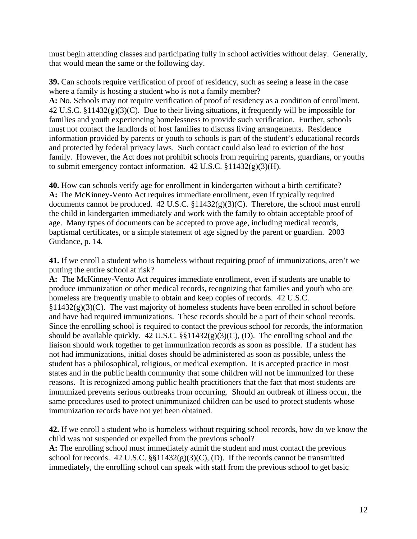must begin attending classes and participating fully in school activities without delay. Generally, that would mean the same or the following day.

**39.** Can schools require verification of proof of residency, such as seeing a lease in the case where a family is hosting a student who is not a family member?

**A:** No. Schools may not require verification of proof of residency as a condition of enrollment. 42 U.S.C. §11432(g)(3)(C). Due to their living situations, it frequently will be impossible for families and youth experiencing homelessness to provide such verification. Further, schools must not contact the landlords of host families to discuss living arrangements. Residence information provided by parents or youth to schools is part of the student's educational records and protected by federal privacy laws. Such contact could also lead to eviction of the host family. However, the Act does not prohibit schools from requiring parents, guardians, or youths to submit emergency contact information. 42 U.S.C. §11432(g)(3)(H).

**40.** How can schools verify age for enrollment in kindergarten without a birth certificate? **A:** The McKinney-Vento Act requires immediate enrollment, even if typically required documents cannot be produced.  $42 \text{ U.S.C. } $11432(g)(3)(C)$ . Therefore, the school must enroll the child in kindergarten immediately and work with the family to obtain acceptable proof of age. Many types of documents can be accepted to prove age, including medical records, baptismal certificates, or a simple statement of age signed by the parent or guardian. 2003 Guidance, p. 14.

**41.** If we enroll a student who is homeless without requiring proof of immunizations, aren't we putting the entire school at risk?

**A:** The McKinney-Vento Act requires immediate enrollment, even if students are unable to produce immunization or other medical records, recognizing that families and youth who are homeless are frequently unable to obtain and keep copies of records. 42 U.S.C.  $§11432(g)(3)(C)$ . The vast majority of homeless students have been enrolled in school before and have had required immunizations. These records should be a part of their school records. Since the enrolling school is required to contact the previous school for records, the information should be available quickly. 42 U.S.C.  $\S$  $11432(g)(3)(C)$ , (D). The enrolling school and the liaison should work together to get immunization records as soon as possible. If a student has not had immunizations, initial doses should be administered as soon as possible, unless the student has a philosophical, religious, or medical exemption. It is accepted practice in most states and in the public health community that some children will not be immunized for these reasons. It is recognized among public health practitioners that the fact that most students are immunized prevents serious outbreaks from occurring. Should an outbreak of illness occur, the same procedures used to protect unimmunized children can be used to protect students whose immunization records have not yet been obtained.

**42.** If we enroll a student who is homeless without requiring school records, how do we know the child was not suspended or expelled from the previous school?

**A:** The enrolling school must immediately admit the student and must contact the previous school for records.  $42 \text{ U.S.C. }$  §§11432(g)(3)(C), (D). If the records cannot be transmitted immediately, the enrolling school can speak with staff from the previous school to get basic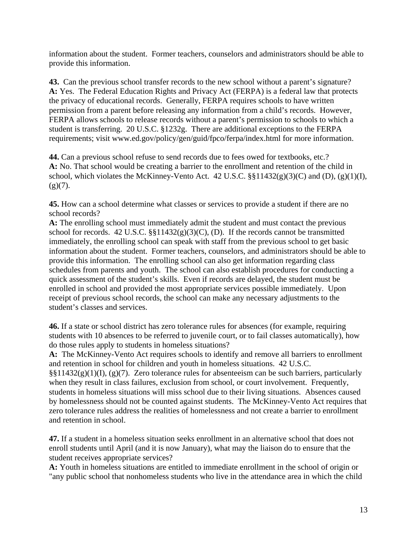information about the student. Former teachers, counselors and administrators should be able to provide this information.

**43.** Can the previous school transfer records to the new school without a parent's signature? **A:** Yes. The Federal Education Rights and Privacy Act (FERPA) is a federal law that protects the privacy of educational records. Generally, FERPA requires schools to have written permission from a parent before releasing any information from a child's records. However, FERPA allows schools to release records without a parent's permission to schools to which a student is transferring. 20 U.S.C. §1232g. There are additional exceptions to the FERPA requirements; visit www.ed.gov/policy/gen/guid/fpco/ferpa/index.html for more information.

**44.** Can a previous school refuse to send records due to fees owed for textbooks, etc.? **A:** No. That school would be creating a barrier to the enrollment and retention of the child in school, which violates the McKinney-Vento Act. 42 U.S.C.  $\S$  $11432(g)(3)(C)$  and (D), (g)(1)(I),  $(g)(7)$ .

**45.** How can a school determine what classes or services to provide a student if there are no school records?

**A:** The enrolling school must immediately admit the student and must contact the previous school for records. 42 U.S.C.  $\S$  $11432(g)(3)(C)$ , (D). If the records cannot be transmitted immediately, the enrolling school can speak with staff from the previous school to get basic information about the student. Former teachers, counselors, and administrators should be able to provide this information. The enrolling school can also get information regarding class schedules from parents and youth. The school can also establish procedures for conducting a quick assessment of the student's skills. Even if records are delayed, the student must be enrolled in school and provided the most appropriate services possible immediately. Upon receipt of previous school records, the school can make any necessary adjustments to the student's classes and services.

**46.** If a state or school district has zero tolerance rules for absences (for example, requiring students with 10 absences to be referred to juvenile court, or to fail classes automatically), how do those rules apply to students in homeless situations?

**A:** The McKinney-Vento Act requires schools to identify and remove all barriers to enrollment and retention in school for children and youth in homeless situations. 42 U.S.C. §§11432(g)(1)(I), (g)(7). Zero tolerance rules for absenteeism can be such barriers, particularly when they result in class failures, exclusion from school, or court involvement. Frequently, students in homeless situations will miss school due to their living situations. Absences caused by homelessness should not be counted against students. The McKinney-Vento Act requires that zero tolerance rules address the realities of homelessness and not create a barrier to enrollment and retention in school.

**47.** If a student in a homeless situation seeks enrollment in an alternative school that does not enroll students until April (and it is now January), what may the liaison do to ensure that the student receives appropriate services?

**A:** Youth in homeless situations are entitled to immediate enrollment in the school of origin or "any public school that nonhomeless students who live in the attendance area in which the child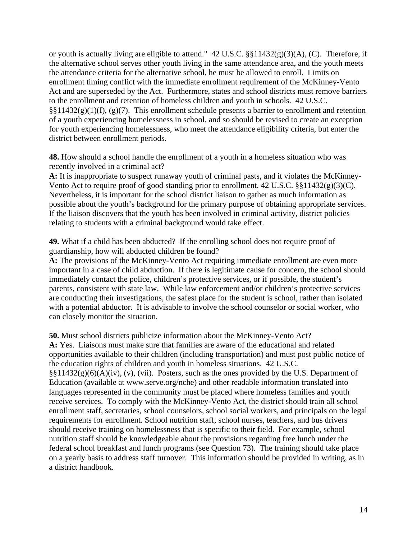or youth is actually living are eligible to attend." 42 U.S.C. §§11432(g)(3)(A), (C). Therefore, if the alternative school serves other youth living in the same attendance area, and the youth meets the attendance criteria for the alternative school, he must be allowed to enroll. Limits on enrollment timing conflict with the immediate enrollment requirement of the McKinney-Vento Act and are superseded by the Act. Furthermore, states and school districts must remove barriers to the enrollment and retention of homeless children and youth in schools. 42 U.S.C.  $\S$ §11432(g)(1)(I), (g)(7). This enrollment schedule presents a barrier to enrollment and retention of a youth experiencing homelessness in school, and so should be revised to create an exception for youth experiencing homelessness, who meet the attendance eligibility criteria, but enter the district between enrollment periods.

**48.** How should a school handle the enrollment of a youth in a homeless situation who was recently involved in a criminal act?

**A:** It is inappropriate to suspect runaway youth of criminal pasts, and it violates the McKinney-Vento Act to require proof of good standing prior to enrollment. 42 U.S.C. §§11432(g)(3)(C). Nevertheless, it is important for the school district liaison to gather as much information as possible about the youth's background for the primary purpose of obtaining appropriate services. If the liaison discovers that the youth has been involved in criminal activity, district policies relating to students with a criminal background would take effect.

**49.** What if a child has been abducted? If the enrolling school does not require proof of guardianship, how will abducted children be found?

**A:** The provisions of the McKinney-Vento Act requiring immediate enrollment are even more important in a case of child abduction. If there is legitimate cause for concern, the school should immediately contact the police, children's protective services, or if possible, the student's parents, consistent with state law. While law enforcement and/or children's protective services are conducting their investigations, the safest place for the student is school, rather than isolated with a potential abductor. It is advisable to involve the school counselor or social worker, who can closely monitor the situation.

**50.** Must school districts publicize information about the McKinney-Vento Act?

**A:** Yes. Liaisons must make sure that families are aware of the educational and related opportunities available to their children (including transportation) and must post public notice of the education rights of children and youth in homeless situations. 42 U.S.C.  $\S\S11432(g)(6)(A)(iv)$ , (v), (vii). Posters, such as the ones provided by the U.S. Department of Education (available at www.serve.org/nche) and other readable information translated into languages represented in the community must be placed where homeless families and youth receive services. To comply with the McKinney-Vento Act, the district should train all school enrollment staff, secretaries, school counselors, school social workers, and principals on the legal requirements for enrollment. School nutrition staff, school nurses, teachers, and bus drivers should receive training on homelessness that is specific to their field. For example, school nutrition staff should be knowledgeable about the provisions regarding free lunch under the federal school breakfast and lunch programs (see Question 73). The training should take place on a yearly basis to address staff turnover. This information should be provided in writing, as in a district handbook.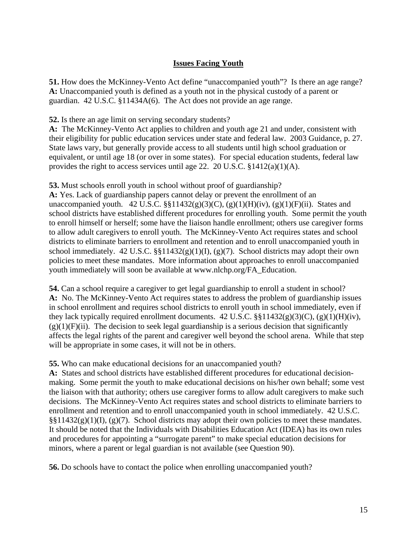# **Issues Facing Youth**

**51.** How does the McKinney-Vento Act define "unaccompanied youth"? Is there an age range? **A:** Unaccompanied youth is defined as a youth not in the physical custody of a parent or guardian. 42 U.S.C. §11434A(6). The Act does not provide an age range.

**52.** Is there an age limit on serving secondary students?

**A:** The McKinney-Vento Act applies to children and youth age 21 and under, consistent with their eligibility for public education services under state and federal law. 2003 Guidance, p. 27. State laws vary, but generally provide access to all students until high school graduation or equivalent, or until age 18 (or over in some states). For special education students, federal law provides the right to access services until age 22. 20 U.S.C. §1412(a)(1)(A).

**53.** Must schools enroll youth in school without proof of guardianship?

**A:** Yes. Lack of guardianship papers cannot delay or prevent the enrollment of an unaccompanied youth. 42 U.S.C.  $\S$  $I1432(g)(3)(C)$ ,  $(g)(1)(H)(iv)$ ,  $(g)(1)(F)(ii)$ . States and school districts have established different procedures for enrolling youth. Some permit the youth to enroll himself or herself; some have the liaison handle enrollment; others use caregiver forms to allow adult caregivers to enroll youth. The McKinney-Vento Act requires states and school districts to eliminate barriers to enrollment and retention and to enroll unaccompanied youth in school immediately. 42 U.S.C.  $\S$ [1432(g)(1)(I), (g)(7). School districts may adopt their own policies to meet these mandates. More information about approaches to enroll unaccompanied youth immediately will soon be available at www.nlchp.org/FA\_Education.

**54.** Can a school require a caregiver to get legal guardianship to enroll a student in school? **A:** No. The McKinney-Vento Act requires states to address the problem of guardianship issues in school enrollment and requires school districts to enroll youth in school immediately, even if they lack typically required enrollment documents. 42 U.S.C.  $\S$  $11432(g)(3)(C)$ ,  $(g)(1)(H)(iv)$ ,  $(g)(1)(F)(ii)$ . The decision to seek legal guardianship is a serious decision that significantly affects the legal rights of the parent and caregiver well beyond the school arena. While that step will be appropriate in some cases, it will not be in others.

**55.** Who can make educational decisions for an unaccompanied youth?

**A:** States and school districts have established different procedures for educational decisionmaking. Some permit the youth to make educational decisions on his/her own behalf; some vest the liaison with that authority; others use caregiver forms to allow adult caregivers to make such decisions. The McKinney-Vento Act requires states and school districts to eliminate barriers to enrollment and retention and to enroll unaccompanied youth in school immediately. 42 U.S.C.  $\S$ §11432(g)(1)(I), (g)(7). School districts may adopt their own policies to meet these mandates. It should be noted that the Individuals with Disabilities Education Act (IDEA) has its own rules and procedures for appointing a "surrogate parent" to make special education decisions for minors, where a parent or legal guardian is not available (see Question 90).

**56.** Do schools have to contact the police when enrolling unaccompanied youth?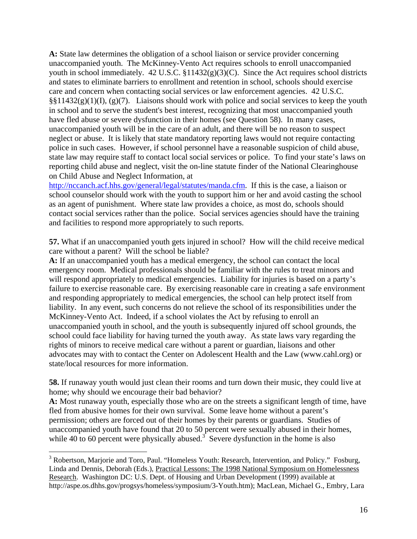**A:** State law determines the obligation of a school liaison or service provider concerning unaccompanied youth. The McKinney-Vento Act requires schools to enroll unaccompanied youth in school immediately. 42 U.S.C. §11432(g)(3)(C). Since the Act requires school districts and states to eliminate barriers to enrollment and retention in school, schools should exercise care and concern when contacting social services or law enforcement agencies. 42 U.S.C.  $\S$ §11432(g)(1)(I), (g)(7). Liaisons should work with police and social services to keep the youth in school and to serve the student's best interest, recognizing that most unaccompanied youth have fled abuse or severe dysfunction in their homes (see Question 58). In many cases, unaccompanied youth will be in the care of an adult, and there will be no reason to suspect neglect or abuse. It is likely that state mandatory reporting laws would not require contacting police in such cases. However, if school personnel have a reasonable suspicion of child abuse, state law may require staff to contact local social services or police. To find your state's laws on reporting child abuse and neglect, visit the on-line statute finder of the National Clearinghouse on Child Abuse and Neglect Information, at

http://nccanch.acf.hhs.gov/general/legal/statutes/manda.cfm. If this is the case, a liaison or school counselor should work with the youth to support him or her and avoid casting the school as an agent of punishment. Where state law provides a choice, as most do, schools should contact social services rather than the police. Social services agencies should have the training and facilities to respond more appropriately to such reports.

**57.** What if an unaccompanied youth gets injured in school? How will the child receive medical care without a parent? Will the school be liable?

**A:** If an unaccompanied youth has a medical emergency, the school can contact the local emergency room. Medical professionals should be familiar with the rules to treat minors and will respond appropriately to medical emergencies. Liability for injuries is based on a party's failure to exercise reasonable care. By exercising reasonable care in creating a safe environment and responding appropriately to medical emergencies, the school can help protect itself from liability. In any event, such concerns do not relieve the school of its responsibilities under the McKinney-Vento Act. Indeed, if a school violates the Act by refusing to enroll an unaccompanied youth in school, and the youth is subsequently injured off school grounds, the school could face liability for having turned the youth away. As state laws vary regarding the rights of minors to receive medical care without a parent or guardian, liaisons and other advocates may with to contact the Center on Adolescent Health and the Law (www.cahl.org) or state/local resources for more information.

**58.** If runaway youth would just clean their rooms and turn down their music, they could live at home; why should we encourage their bad behavior?

**A:** Most runaway youth, especially those who are on the streets a significant length of time, have fled from abusive homes for their own survival. Some leave home without a parent's permission; others are forced out of their homes by their parents or guardians. Studies of unaccompanied youth have found that 20 to 50 percent were sexually abused in their homes, while 40 to 60 percent were physically abused.<sup>3</sup> Severe dysfunction in the home is also

 $\overline{a}$ 

<sup>&</sup>lt;sup>3</sup> Robertson, Marjorie and Toro, Paul. "Homeless Youth: Research, Intervention, and Policy." Fosburg, Linda and Dennis, Deborah (Eds.), Practical Lessons: The 1998 National Symposium on Homelessness Research. Washington DC: U.S. Dept. of Housing and Urban Development (1999) available at http://aspe.os.dhhs.gov/progsys/homeless/symposium/3-Youth.htm); MacLean, Michael G., Embry, Lara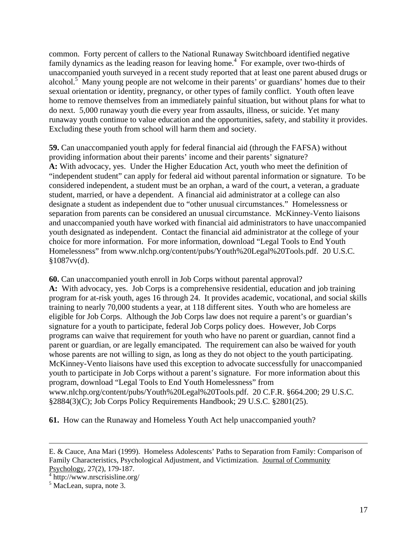common. Forty percent of callers to the National Runaway Switchboard identified negative family dynamics as the leading reason for leaving home.<sup>4</sup> For example, over two-thirds of unaccompanied youth surveyed in a recent study reported that at least one parent abused drugs or alcohol.<sup>5</sup> Many young people are not welcome in their parents' or guardians' homes due to their sexual orientation or identity, pregnancy, or other types of family conflict. Youth often leave home to remove themselves from an immediately painful situation, but without plans for what to do next. 5,000 runaway youth die every year from assaults, illness, or suicide. Yet many runaway youth continue to value education and the opportunities, safety, and stability it provides. Excluding these youth from school will harm them and society.

**59.** Can unaccompanied youth apply for federal financial aid (through the FAFSA) without providing information about their parents' income and their parents' signature? **A:** With advocacy, yes. Under the Higher Education Act, youth who meet the definition of "independent student" can apply for federal aid without parental information or signature. To be considered independent, a student must be an orphan, a ward of the court, a veteran, a graduate student, married, or have a dependent. A financial aid administrator at a college can also designate a student as independent due to "other unusual circumstances." Homelessness or separation from parents can be considered an unusual circumstance. McKinney-Vento liaisons and unaccompanied youth have worked with financial aid administrators to have unaccompanied youth designated as independent. Contact the financial aid administrator at the college of your choice for more information. For more information, download "Legal Tools to End Youth Homelessness" from www.nlchp.org/content/pubs/Youth%20Legal%20Tools.pdf. 20 U.S.C.  $§1087$ vv(d).

**60.** Can unaccompanied youth enroll in Job Corps without parental approval?

**A:** With advocacy, yes. Job Corps is a comprehensive residential, education and job training program for at-risk youth, ages 16 through 24. It provides academic, vocational, and social skills training to nearly 70,000 students a year, at 118 different sites. Youth who are homeless are eligible for Job Corps. Although the Job Corps law does not require a parent's or guardian's signature for a youth to participate, federal Job Corps policy does. However, Job Corps programs can waive that requirement for youth who have no parent or guardian, cannot find a parent or guardian, or are legally emancipated. The requirement can also be waived for youth whose parents are not willing to sign, as long as they do not object to the youth participating. McKinney-Vento liaisons have used this exception to advocate successfully for unaccompanied youth to participate in Job Corps without a parent's signature. For more information about this program, download "Legal Tools to End Youth Homelessness" from www.nlchp.org/content/pubs/Youth%20Legal%20Tools.pdf. 20 C.F.R. §664.200; 29 U.S.C. §2884(3)(C); Job Corps Policy Requirements Handbook; 29 U.S.C. §2801(25).

**61.** How can the Runaway and Homeless Youth Act help unaccompanied youth?

 $\overline{a}$ 

E. & Cauce, Ana Mari (1999). Homeless Adolescents' Paths to Separation from Family: Comparison of Family Characteristics, Psychological Adjustment, and Victimization. Journal of Community Psychology, 27(2), 179-187.

<sup>4</sup> http://www.nrscrisisline.org/

<sup>&</sup>lt;sup>5</sup> MacLean, supra, note 3.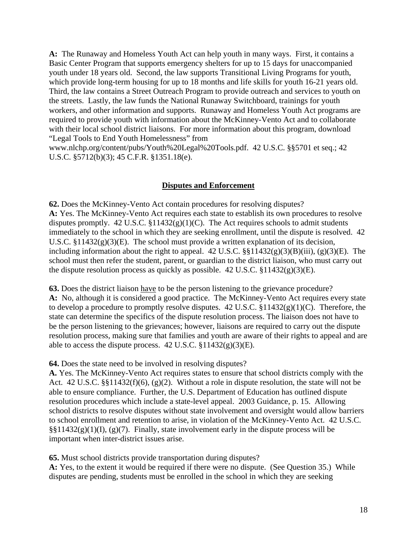**A:** The Runaway and Homeless Youth Act can help youth in many ways. First, it contains a Basic Center Program that supports emergency shelters for up to 15 days for unaccompanied youth under 18 years old. Second, the law supports Transitional Living Programs for youth, which provide long-term housing for up to 18 months and life skills for youth 16-21 years old. Third, the law contains a Street Outreach Program to provide outreach and services to youth on the streets. Lastly, the law funds the National Runaway Switchboard, trainings for youth workers, and other information and supports. Runaway and Homeless Youth Act programs are required to provide youth with information about the McKinney-Vento Act and to collaborate with their local school district liaisons. For more information about this program, download "Legal Tools to End Youth Homelessness" from

www.nlchp.org/content/pubs/Youth%20Legal%20Tools.pdf. 42 U.S.C. §§5701 et seq.; 42 U.S.C. §5712(b)(3); 45 C.F.R. §1351.18(e).

## **Disputes and Enforcement**

**62.** Does the McKinney-Vento Act contain procedures for resolving disputes? **A:** Yes. The McKinney-Vento Act requires each state to establish its own procedures to resolve disputes promptly. 42 U.S.C.  $$11432(g)(1)(C)$ . The Act requires schools to admit students immediately to the school in which they are seeking enrollment, until the dispute is resolved. 42 U.S.C.  $$11432(g)(3)(E)$ . The school must provide a written explanation of its decision, including information about the right to appeal.  $42 \text{ U.S.C. }$   $\S\$  $11432(g)(3)(B)(iii)$ , (g)(3)(E). The school must then refer the student, parent, or guardian to the district liaison, who must carry out the dispute resolution process as quickly as possible. 42 U.S.C.  $\S 11432(g)(3)(E)$ .

**63.** Does the district liaison have to be the person listening to the grievance procedure? **A:** No, although it is considered a good practice. The McKinney-Vento Act requires every state to develop a procedure to promptly resolve disputes.  $42 \text{ U.S.C. } $11432(g)(1)(C)$ . Therefore, the state can determine the specifics of the dispute resolution process. The liaison does not have to be the person listening to the grievances; however, liaisons are required to carry out the dispute resolution process, making sure that families and youth are aware of their rights to appeal and are able to access the dispute process.  $42 \text{ U.S.C. } $11432(g)(3)(E)$ .

**64.** Does the state need to be involved in resolving disputes?

**A.** Yes. The McKinney-Vento Act requires states to ensure that school districts comply with the Act. 42 U.S.C. §§11432(f)(6), (g)(2). Without a role in dispute resolution, the state will not be able to ensure compliance. Further, the U.S. Department of Education has outlined dispute resolution procedures which include a state-level appeal. 2003 Guidance, p. 15. Allowing school districts to resolve disputes without state involvement and oversight would allow barriers to school enrollment and retention to arise, in violation of the McKinney-Vento Act. 42 U.S.C.  $\S$ §11432(g)(1)(I), (g)(7). Finally, state involvement early in the dispute process will be important when inter-district issues arise.

**65.** Must school districts provide transportation during disputes?

**A:** Yes, to the extent it would be required if there were no dispute. (See Question 35.) While disputes are pending, students must be enrolled in the school in which they are seeking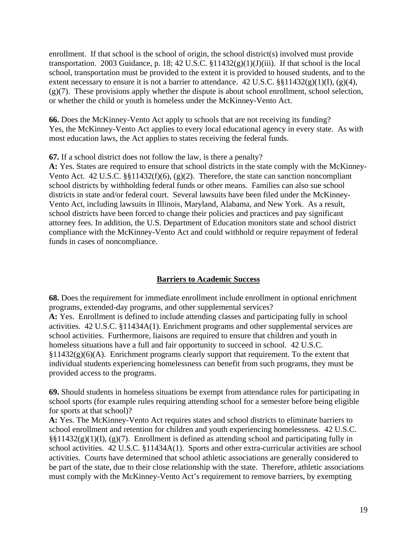enrollment. If that school is the school of origin, the school district(s) involved must provide transportation. 2003 Guidance, p. 18; 42 U.S.C.  $$11432(g)(1)(J)(iii)$ . If that school is the local school, transportation must be provided to the extent it is provided to housed students, and to the extent necessary to ensure it is not a barrier to attendance. 42 U.S.C.  $\S$  $11432(g)(1)(I)$ , (g)(4),  $(g)(7)$ . These provisions apply whether the dispute is about school enrollment, school selection, or whether the child or youth is homeless under the McKinney-Vento Act.

**66.** Does the McKinney-Vento Act apply to schools that are not receiving its funding? Yes, the McKinney-Vento Act applies to every local educational agency in every state. As with most education laws, the Act applies to states receiving the federal funds.

**67.** If a school district does not follow the law, is there a penalty?

**A:** Yes. States are required to ensure that school districts in the state comply with the McKinney-Vento Act. 42 U.S.C. §§11432(f)(6), (g)(2). Therefore, the state can sanction noncompliant school districts by withholding federal funds or other means. Families can also sue school districts in state and/or federal court. Several lawsuits have been filed under the McKinney-Vento Act, including lawsuits in Illinois, Maryland, Alabama, and New York. As a result, school districts have been forced to change their policies and practices and pay significant attorney fees. In addition, the U.S. Department of Education monitors state and school district compliance with the McKinney-Vento Act and could withhold or require repayment of federal funds in cases of noncompliance.

## **Barriers to Academic Success**

**68.** Does the requirement for immediate enrollment include enrollment in optional enrichment programs, extended-day programs, and other supplemental services? **A:** Yes. Enrollment is defined to include attending classes and participating fully in school activities. 42 U.S.C. §11434A(1). Enrichment programs and other supplemental services are

school activities. Furthermore, liaisons are required to ensure that children and youth in homeless situations have a full and fair opportunity to succeed in school. 42 U.S.C.  $§11432(g)(6)(A)$ . Enrichment programs clearly support that requirement. To the extent that individual students experiencing homelessness can benefit from such programs, they must be provided access to the programs.

**69.** Should students in homeless situations be exempt from attendance rules for participating in school sports (for example rules requiring attending school for a semester before being eligible for sports at that school)?

**A:** Yes. The McKinney-Vento Act requires states and school districts to eliminate barriers to school enrollment and retention for children and youth experiencing homelessness. 42 U.S.C.  $\S$ §11432(g)(1)(I), (g)(7). Enrollment is defined as attending school and participating fully in school activities. 42 U.S.C. §11434A(1). Sports and other extra-curricular activities are school activities. Courts have determined that school athletic associations are generally considered to be part of the state, due to their close relationship with the state. Therefore, athletic associations must comply with the McKinney-Vento Act's requirement to remove barriers, by exempting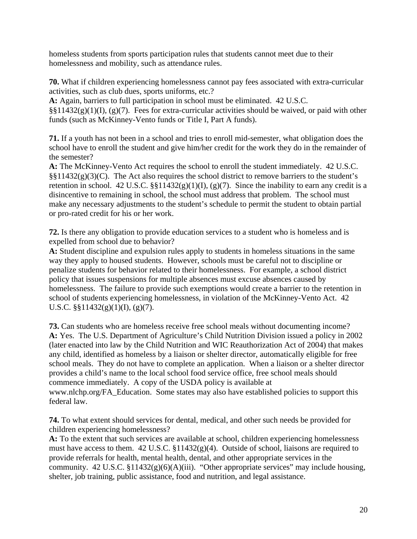homeless students from sports participation rules that students cannot meet due to their homelessness and mobility, such as attendance rules.

**70.** What if children experiencing homelessness cannot pay fees associated with extra-curricular activities, such as club dues, sports uniforms, etc.?

**A:** Again, barriers to full participation in school must be eliminated. 42 U.S.C.  $\S\S11432(g)(1)(I), (g)(7)$ . Fees for extra-curricular activities should be waived, or paid with other

funds (such as McKinney-Vento funds or Title I, Part A funds).

**71.** If a youth has not been in a school and tries to enroll mid-semester, what obligation does the school have to enroll the student and give him/her credit for the work they do in the remainder of the semester?

**A:** The McKinney-Vento Act requires the school to enroll the student immediately. 42 U.S.C.  $\S\S11432(g)(3)(C)$ . The Act also requires the school district to remove barriers to the student's retention in school. 42 U.S.C.  $\S$  $11432(g)(1)(I)$ ,  $(g)(7)$ . Since the inability to earn any credit is a disincentive to remaining in school, the school must address that problem. The school must make any necessary adjustments to the student's schedule to permit the student to obtain partial or pro-rated credit for his or her work.

**72.** Is there any obligation to provide education services to a student who is homeless and is expelled from school due to behavior?

**A:** Student discipline and expulsion rules apply to students in homeless situations in the same way they apply to housed students. However, schools must be careful not to discipline or penalize students for behavior related to their homelessness. For example, a school district policy that issues suspensions for multiple absences must excuse absences caused by homelessness. The failure to provide such exemptions would create a barrier to the retention in school of students experiencing homelessness, in violation of the McKinney-Vento Act. 42 U.S.C.  $\S$ §11432(g)(1)(I), (g)(7).

**73.** Can students who are homeless receive free school meals without documenting income? **A:** Yes. The U.S. Department of Agriculture's Child Nutrition Division issued a policy in 2002 (later enacted into law by the Child Nutrition and WIC Reauthorization Act of 2004) that makes any child, identified as homeless by a liaison or shelter director, automatically eligible for free school meals. They do not have to complete an application. When a liaison or a shelter director provides a child's name to the local school food service office, free school meals should commence immediately. A copy of the USDA policy is available at www.nlchp.org/FA\_Education. Some states may also have established policies to support this federal law.

**74.** To what extent should services for dental, medical, and other such needs be provided for children experiencing homelessness?

**A:** To the extent that such services are available at school, children experiencing homelessness must have access to them. 42 U.S.C. §11432(g)(4). Outside of school, liaisons are required to provide referrals for health, mental health, dental, and other appropriate services in the community. 42 U.S.C. §11432(g)(6)(A)(iii). "Other appropriate services" may include housing, shelter, job training, public assistance, food and nutrition, and legal assistance.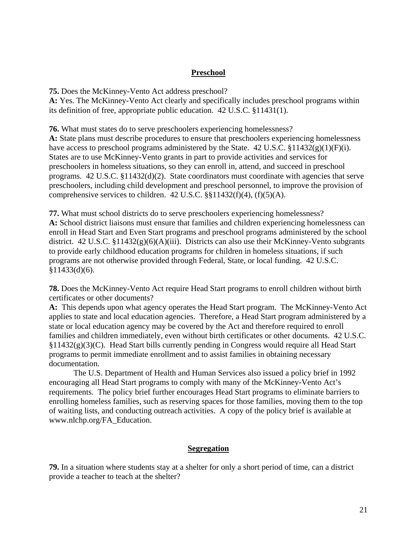#### **Preschool**

**75.** Does the McKinney-Vento Act address preschool?

**A:** Yes. The McKinney-Vento Act clearly and specifically includes preschool programs within its definition of free, appropriate public education. 42 U.S.C. §11431(1).

**76.** What must states do to serve preschoolers experiencing homelessness?

**A:** State plans must describe procedures to ensure that preschoolers experiencing homelessness have access to preschool programs administered by the State. 42 U.S.C.  $\S 11432(g)(1)(F)(i)$ . States are to use McKinney-Vento grants in part to provide activities and services for preschoolers in homeless situations, so they can enroll in, attend, and succeed in preschool programs. 42 U.S.C. §11432(d)(2). State coordinators must coordinate with agencies that serve preschoolers, including child development and preschool personnel, to improve the provision of comprehensive services to children.  $42$  U.S.C.  $\S$ §11432(f)(4), (f)(5)(A).

**77.** What must school districts do to serve preschoolers experiencing homelessness? **A:** School district liaisons must ensure that families and children experiencing homelessness can enroll in Head Start and Even Start programs and preschool programs administered by the school district. 42 U.S.C. §11432(g)(6)(A)(iii). Districts can also use their McKinney-Vento subgrants to provide early childhood education programs for children in homeless situations, if such programs are not otherwise provided through Federal, State, or local funding. 42 U.S.C.  $§11433(d)(6).$ 

**78.** Does the McKinney-Vento Act require Head Start programs to enroll children without birth certificates or other documents?

**A:** This depends upon what agency operates the Head Start program. The McKinney-Vento Act applies to state and local education agencies. Therefore, a Head Start program administered by a state or local education agency may be covered by the Act and therefore required to enroll families and children immediately, even without birth certificates or other documents. 42 U.S.C. §11432(g)(3)(C). Head Start bills currently pending in Congress would require all Head Start programs to permit immediate enrollment and to assist families in obtaining necessary documentation.

The U.S. Department of Health and Human Services also issued a policy brief in 1992 encouraging all Head Start programs to comply with many of the McKinney-Vento Act's requirements. The policy brief further encourages Head Start programs to eliminate barriers to enrolling homeless families, such as reserving spaces for those families, moving them to the top of waiting lists, and conducting outreach activities. A copy of the policy brief is available at www.nlchp.org/FA\_Education.

#### **Segregation**

**79.** In a situation where students stay at a shelter for only a short period of time, can a district provide a teacher to teach at the shelter?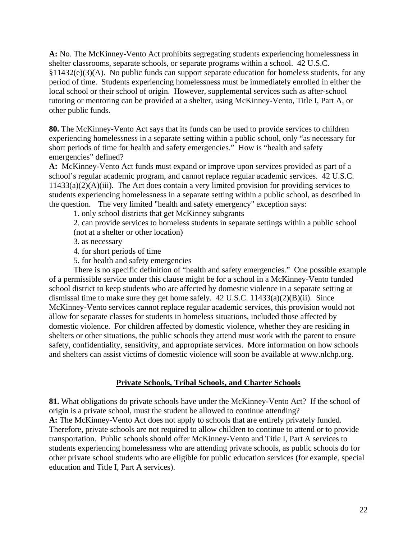**A:** No. The McKinney-Vento Act prohibits segregating students experiencing homelessness in shelter classrooms, separate schools, or separate programs within a school. 42 U.S.C.  $§11432(e)(3)$ (A). No public funds can support separate education for homeless students, for any period of time. Students experiencing homelessness must be immediately enrolled in either the local school or their school of origin. However, supplemental services such as after-school tutoring or mentoring can be provided at a shelter, using McKinney-Vento, Title I, Part A, or other public funds.

**80.** The McKinney-Vento Act says that its funds can be used to provide services to children experiencing homelessness in a separate setting within a public school, only "as necessary for short periods of time for health and safety emergencies." How is "health and safety emergencies" defined?

**A:** McKinney-Vento Act funds must expand or improve upon services provided as part of a school's regular academic program, and cannot replace regular academic services. 42 U.S.C.  $11433(a)(2)(A)(iii)$ . The Act does contain a very limited provision for providing services to students experiencing homelessness in a separate setting within a public school, as described in the question. The very limited "health and safety emergency" exception says:

1. only school districts that get McKinney subgrants

2. can provide services to homeless students in separate settings within a public school (not at a shelter or other location)

3. as necessary

4. for short periods of time

5. for health and safety emergencies

 There is no specific definition of "health and safety emergencies." One possible example of a permissible service under this clause might be for a school in a McKinney-Vento funded school district to keep students who are affected by domestic violence in a separate setting at dismissal time to make sure they get home safely.  $42 \text{ U.S.C. } 11433(a)(2)(B)(ii)$ . Since McKinney-Vento services cannot replace regular academic services, this provision would not allow for separate classes for students in homeless situations, included those affected by domestic violence. For children affected by domestic violence, whether they are residing in shelters or other situations, the public schools they attend must work with the parent to ensure safety, confidentiality, sensitivity, and appropriate services. More information on how schools and shelters can assist victims of domestic violence will soon be available at www.nlchp.org.

#### **Private Schools, Tribal Schools, and Charter Schools**

**81.** What obligations do private schools have under the McKinney-Vento Act? If the school of origin is a private school, must the student be allowed to continue attending? **A:** The McKinney-Vento Act does not apply to schools that are entirely privately funded. Therefore, private schools are not required to allow children to continue to attend or to provide transportation. Public schools should offer McKinney-Vento and Title I, Part A services to students experiencing homelessness who are attending private schools, as public schools do for other private school students who are eligible for public education services (for example, special education and Title I, Part A services).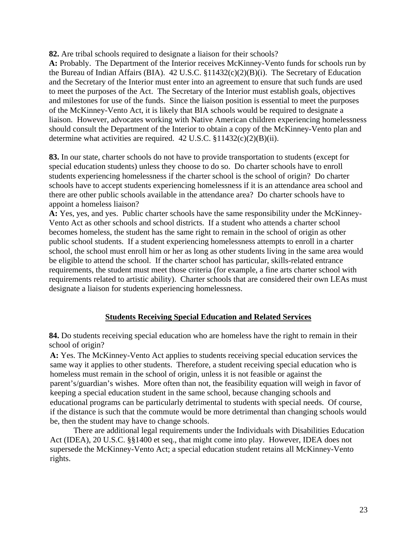**82.** Are tribal schools required to designate a liaison for their schools?

**A:** Probably. The Department of the Interior receives McKinney-Vento funds for schools run by the Bureau of Indian Affairs (BIA). 42 U.S.C. §11432(c)(2)(B)(i). The Secretary of Education and the Secretary of the Interior must enter into an agreement to ensure that such funds are used to meet the purposes of the Act. The Secretary of the Interior must establish goals, objectives and milestones for use of the funds. Since the liaison position is essential to meet the purposes of the McKinney-Vento Act, it is likely that BIA schools would be required to designate a liaison. However, advocates working with Native American children experiencing homelessness should consult the Department of the Interior to obtain a copy of the McKinney-Vento plan and determine what activities are required.  $42$  U.S.C.  $$11432(c)(2)(B)(ii)$ .

**83.** In our state, charter schools do not have to provide transportation to students (except for special education students) unless they choose to do so. Do charter schools have to enroll students experiencing homelessness if the charter school is the school of origin? Do charter schools have to accept students experiencing homelessness if it is an attendance area school and there are other public schools available in the attendance area? Do charter schools have to appoint a homeless liaison?

**A:** Yes, yes, and yes. Public charter schools have the same responsibility under the McKinney-Vento Act as other schools and school districts. If a student who attends a charter school becomes homeless, the student has the same right to remain in the school of origin as other public school students. If a student experiencing homelessness attempts to enroll in a charter school, the school must enroll him or her as long as other students living in the same area would be eligible to attend the school. If the charter school has particular, skills-related entrance requirements, the student must meet those criteria (for example, a fine arts charter school with requirements related to artistic ability). Charter schools that are considered their own LEAs must designate a liaison for students experiencing homelessness.

## **Students Receiving Special Education and Related Services**

**84.** Do students receiving special education who are homeless have the right to remain in their school of origin?

**A:** Yes. The McKinney-Vento Act applies to students receiving special education services the same way it applies to other students. Therefore, a student receiving special education who is homeless must remain in the school of origin, unless it is not feasible or against the parent's/guardian's wishes. More often than not, the feasibility equation will weigh in favor of keeping a special education student in the same school, because changing schools and educational programs can be particularly detrimental to students with special needs. Of course, if the distance is such that the commute would be more detrimental than changing schools would be, then the student may have to change schools.

 There are additional legal requirements under the Individuals with Disabilities Education Act (IDEA), 20 U.S.C. §§1400 et seq., that might come into play. However, IDEA does not supersede the McKinney-Vento Act; a special education student retains all McKinney-Vento rights.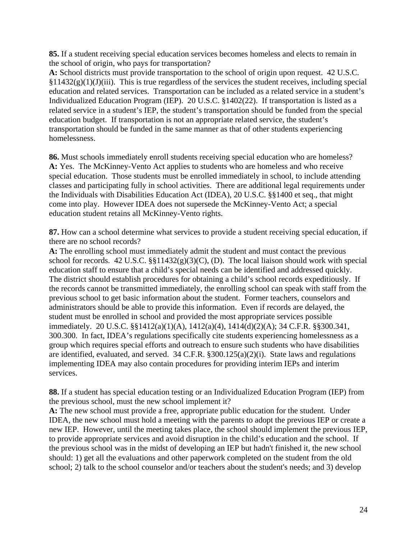**85.** If a student receiving special education services becomes homeless and elects to remain in the school of origin, who pays for transportation?

**A:** School districts must provide transportation to the school of origin upon request. 42 U.S.C.  $§11432(g)(1)(J)(iii)$ . This is true regardless of the services the student receives, including special education and related services. Transportation can be included as a related service in a student's Individualized Education Program (IEP). 20 U.S.C. §1402(22). If transportation is listed as a related service in a student's IEP, the student's transportation should be funded from the special education budget. If transportation is not an appropriate related service, the student's transportation should be funded in the same manner as that of other students experiencing homelessness.

**86.** Must schools immediately enroll students receiving special education who are homeless? **A:** Yes. The McKinney-Vento Act applies to students who are homeless and who receive special education. Those students must be enrolled immediately in school, to include attending classes and participating fully in school activities. There are additional legal requirements under the Individuals with Disabilities Education Act (IDEA), 20 U.S.C. §§1400 et seq., that might come into play. However IDEA does not supersede the McKinney-Vento Act; a special education student retains all McKinney-Vento rights.

**87.** How can a school determine what services to provide a student receiving special education, if there are no school records?

**A:** The enrolling school must immediately admit the student and must contact the previous school for records. 42 U.S.C.  $\S$  $11432(g)(3)(C)$ , (D). The local liaison should work with special education staff to ensure that a child's special needs can be identified and addressed quickly. The district should establish procedures for obtaining a child's school records expeditiously. If the records cannot be transmitted immediately, the enrolling school can speak with staff from the previous school to get basic information about the student. Former teachers, counselors and administrators should be able to provide this information. Even if records are delayed, the student must be enrolled in school and provided the most appropriate services possible immediately. 20 U.S.C. §§1412(a)(1)(A), 1412(a)(4), 1414(d)(2)(A); 34 C.F.R. §§300.341, 300.300. In fact, IDEA's regulations specifically cite students experiencing homelessness as a group which requires special efforts and outreach to ensure such students who have disabilities are identified, evaluated, and served. 34 C.F.R. §300.125(a)(2)(i). State laws and regulations implementing IDEA may also contain procedures for providing interim IEPs and interim services.

**88.** If a student has special education testing or an Individualized Education Program (IEP) from the previous school, must the new school implement it?

**A:** The new school must provide a free, appropriate public education for the student. Under IDEA, the new school must hold a meeting with the parents to adopt the previous IEP or create a new IEP. However, until the meeting takes place, the school should implement the previous IEP, to provide appropriate services and avoid disruption in the child's education and the school. If the previous school was in the midst of developing an IEP but hadn't finished it, the new school should: 1) get all the evaluations and other paperwork completed on the student from the old school; 2) talk to the school counselor and/or teachers about the student's needs; and 3) develop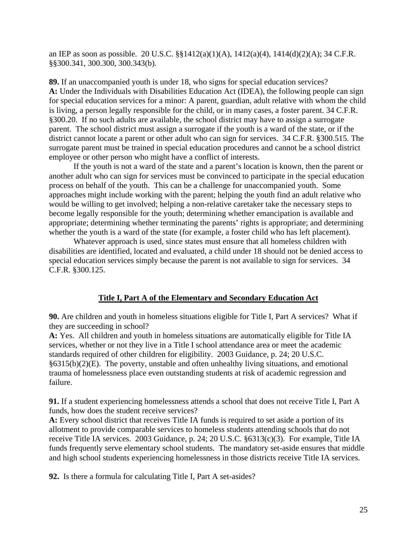an IEP as soon as possible. 20 U.S.C. §§1412(a)(1)(A), 1412(a)(4), 1414(d)(2)(A); 34 C.F.R. §§300.341, 300.300, 300.343(b).

**89.** If an unaccompanied youth is under 18, who signs for special education services? **A:** Under the Individuals with Disabilities Education Act (IDEA), the following people can sign for special education services for a minor: A parent, guardian, adult relative with whom the child is living, a person legally responsible for the child, or in many cases, a foster parent. 34 C.F.R. §300.20. If no such adults are available, the school district may have to assign a surrogate parent. The school district must assign a surrogate if the youth is a ward of the state, or if the district cannot locate a parent or other adult who can sign for services. 34 C.F.R. §300.515. The surrogate parent must be trained in special education procedures and cannot be a school district employee or other person who might have a conflict of interests.

If the youth is not a ward of the state and a parent's location is known, then the parent or another adult who can sign for services must be convinced to participate in the special education process on behalf of the youth. This can be a challenge for unaccompanied youth. Some approaches might include working with the parent; helping the youth find an adult relative who would be willing to get involved; helping a non-relative caretaker take the necessary steps to become legally responsible for the youth; determining whether emancipation is available and appropriate; determining whether terminating the parents' rights is appropriate; and determining whether the youth is a ward of the state (for example, a foster child who has left placement).

Whatever approach is used, since states must ensure that all homeless children with disabilities are identified, located and evaluated, a child under 18 should not be denied access to special education services simply because the parent is not available to sign for services. 34 C.F.R. §300.125.

#### **Title I, Part A of the Elementary and Secondary Education Act**

**90.** Are children and youth in homeless situations eligible for Title I, Part A services? What if they are succeeding in school?

**A:** Yes. All children and youth in homeless situations are automatically eligible for Title IA services, whether or not they live in a Title I school attendance area or meet the academic standards required of other children for eligibility. 2003 Guidance, p. 24; 20 U.S.C. §6315(b)(2)(E). The poverty, unstable and often unhealthy living situations, and emotional trauma of homelessness place even outstanding students at risk of academic regression and failure.

**91.** If a student experiencing homelessness attends a school that does not receive Title I, Part A funds, how does the student receive services?

**A:** Every school district that receives Title IA funds is required to set aside a portion of its allotment to provide comparable services to homeless students attending schools that do not receive Title IA services. 2003 Guidance, p. 24; 20 U.S.C. §6313(c)(3). For example, Title IA funds frequently serve elementary school students. The mandatory set-aside ensures that middle and high school students experiencing homelessness in those districts receive Title IA services.

**92.** Is there a formula for calculating Title I, Part A set-asides?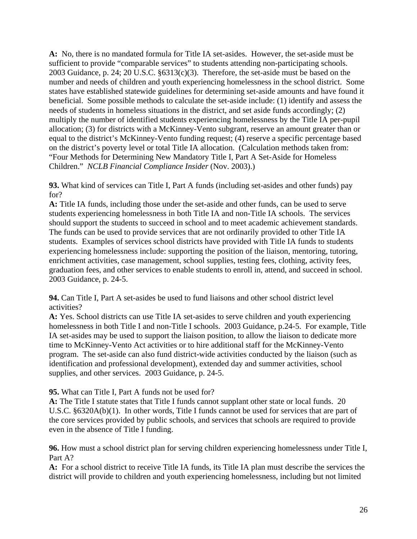**A:** No, there is no mandated formula for Title IA set-asides. However, the set-aside must be sufficient to provide "comparable services" to students attending non-participating schools. 2003 Guidance, p. 24; 20 U.S.C. §6313(c)(3). Therefore, the set-aside must be based on the number and needs of children and youth experiencing homelessness in the school district. Some states have established statewide guidelines for determining set-aside amounts and have found it beneficial. Some possible methods to calculate the set-aside include: (1) identify and assess the needs of students in homeless situations in the district, and set aside funds accordingly; (2) multiply the number of identified students experiencing homelessness by the Title IA per-pupil allocation; (3) for districts with a McKinney-Vento subgrant, reserve an amount greater than or equal to the district's McKinney-Vento funding request; (4) reserve a specific percentage based on the district's poverty level or total Title IA allocation. (Calculation methods taken from: "Four Methods for Determining New Mandatory Title I, Part A Set-Aside for Homeless Children." *NCLB Financial Compliance Insider* (Nov. 2003).)

**93.** What kind of services can Title I, Part A funds (including set-asides and other funds) pay for?

**A:** Title IA funds, including those under the set-aside and other funds, can be used to serve students experiencing homelessness in both Title IA and non-Title IA schools. The services should support the students to succeed in school and to meet academic achievement standards. The funds can be used to provide services that are not ordinarily provided to other Title IA students. Examples of services school districts have provided with Title IA funds to students experiencing homelessness include: supporting the position of the liaison, mentoring, tutoring, enrichment activities, case management, school supplies, testing fees, clothing, activity fees, graduation fees, and other services to enable students to enroll in, attend, and succeed in school. 2003 Guidance, p. 24-5.

**94.** Can Title I, Part A set-asides be used to fund liaisons and other school district level activities?

**A:** Yes. School districts can use Title IA set-asides to serve children and youth experiencing homelessness in both Title I and non-Title I schools. 2003 Guidance, p.24-5. For example, Title IA set-asides may be used to support the liaison position, to allow the liaison to dedicate more time to McKinney-Vento Act activities or to hire additional staff for the McKinney-Vento program. The set-aside can also fund district-wide activities conducted by the liaison (such as identification and professional development), extended day and summer activities, school supplies, and other services. 2003 Guidance, p. 24-5.

#### **95.** What can Title I, Part A funds not be used for?

**A:** The Title I statute states that Title I funds cannot supplant other state or local funds. 20 U.S.C. §6320A(b)(1). In other words, Title I funds cannot be used for services that are part of the core services provided by public schools, and services that schools are required to provide even in the absence of Title I funding.

**96.** How must a school district plan for serving children experiencing homelessness under Title I, Part A?

**A:** For a school district to receive Title IA funds, its Title IA plan must describe the services the district will provide to children and youth experiencing homelessness, including but not limited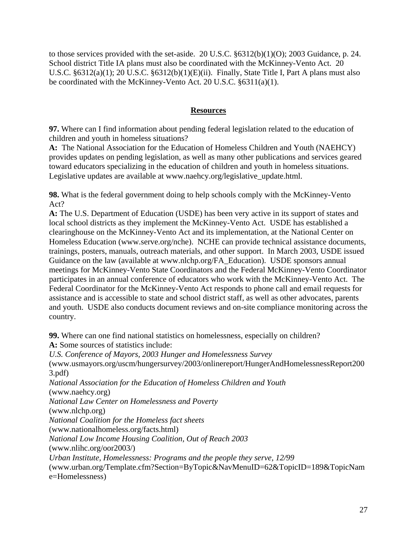to those services provided with the set-aside. 20 U.S.C. §6312(b)(1)(O); 2003 Guidance, p. 24. School district Title IA plans must also be coordinated with the McKinney-Vento Act. 20 U.S.C. §6312(a)(1); 20 U.S.C. §6312(b)(1)(E)(ii). Finally, State Title I, Part A plans must also be coordinated with the McKinney-Vento Act. 20 U.S.C. §6311(a)(1).

#### **Resources**

**97.** Where can I find information about pending federal legislation related to the education of children and youth in homeless situations?

**A:** The National Association for the Education of Homeless Children and Youth (NAEHCY) provides updates on pending legislation, as well as many other publications and services geared toward educators specializing in the education of children and youth in homeless situations. Legislative updates are available at www.naehcy.org/legislative\_update.html.

**98.** What is the federal government doing to help schools comply with the McKinney-Vento Act?

**A:** The U.S. Department of Education (USDE) has been very active in its support of states and local school districts as they implement the McKinney-Vento Act. USDE has established a clearinghouse on the McKinney-Vento Act and its implementation, at the National Center on Homeless Education (www.serve.org/nche). NCHE can provide technical assistance documents, trainings, posters, manuals, outreach materials, and other support. In March 2003, USDE issued Guidance on the law (available at www.nlchp.org/FA\_Education). USDE sponsors annual meetings for McKinney-Vento State Coordinators and the Federal McKinney-Vento Coordinator participates in an annual conference of educators who work with the McKinney-Vento Act. The Federal Coordinator for the McKinney-Vento Act responds to phone call and email requests for assistance and is accessible to state and school district staff, as well as other advocates, parents and youth. USDE also conducts document reviews and on-site compliance monitoring across the country.

**99.** Where can one find national statistics on homelessness, especially on children? **A:** Some sources of statistics include:

*U.S. Conference of Mayors, 2003 Hunger and Homelessness Survey*  (www.usmayors.org/uscm/hungersurvey/2003/onlinereport/HungerAndHomelessnessReport200 3.pdf) *National Association for the Education of Homeless Children and Youth*  (www.naehcy.org) *National Law Center on Homelessness and Poverty*  (www.nlchp.org) *National Coalition for the Homeless fact sheets*  (www.nationalhomeless.org/facts.html) *National Low Income Housing Coalition, Out of Reach 2003*  (www.nlihc.org/oor2003/) *Urban Institute, Homelessness: Programs and the people they serve, 12/99*  (www.urban.org/Template.cfm?Section=ByTopic&NavMenuID=62&TopicID=189&TopicNam e=Homelessness)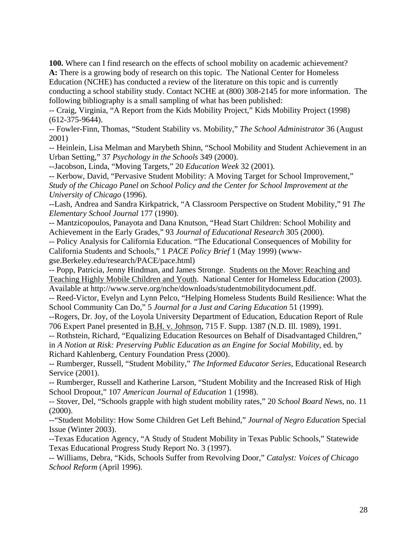**100.** Where can I find research on the effects of school mobility on academic achievement? **A:** There is a growing body of research on this topic. The National Center for Homeless Education (NCHE) has conducted a review of the literature on this topic and is currently conducting a school stability study. Contact NCHE at (800) 308-2145 for more information. The following bibliography is a small sampling of what has been published:

-- Craig, Virginia, "A Report from the Kids Mobility Project," Kids Mobility Project (1998) (612-375-9644).

-- Fowler-Finn, Thomas, "Student Stability vs. Mobility," *The School Administrator* 36 (August 2001)

-- Heinlein, Lisa Melman and Marybeth Shinn, "School Mobility and Student Achievement in an Urban Setting," 37 *Psychology in the Schools* 349 (2000).

--Jacobson, Linda, "Moving Targets," 20 *Education Week* 32 (2001).

-- Kerbow, David, "Pervasive Student Mobility: A Moving Target for School Improvement," *Study of the Chicago Panel on School Policy and the Center for School Improvement at the University of Chicago* (1996).

--Lash, Andrea and Sandra Kirkpatrick, "A Classroom Perspective on Student Mobility," 91 *The Elementary School Journal* 177 (1990).

-- Mantzicopoulos, Panayota and Dana Knutson, "Head Start Children: School Mobility and Achievement in the Early Grades," 93 *Journal of Educational Research* 305 (2000).

-- Policy Analysis for California Education. "The Educational Consequences of Mobility for California Students and Schools," 1 *PACE Policy Brief* 1 (May 1999) (www-

gse.Berkeley.edu/research/PACE/pace.html)

-- Popp, Patricia, Jenny Hindman, and James Stronge. Students on the Move: Reaching and Teaching Highly Mobile Children and Youth. National Center for Homeless Education (2003). Available at http://www.serve.org/nche/downloads/studentmobilitydocument.pdf.

-- Reed-Victor, Evelyn and Lynn Pelco, "Helping Homeless Students Build Resilience: What the School Community Can Do," 5 *Journal for a Just and Caring Education* 51 (1999).

--Rogers, Dr. Joy, of the Loyola University Department of Education, Education Report of Rule 706 Expert Panel presented in B.H. v. Johnson, 715 F. Supp. 1387 (N.D. Ill. 1989), 1991.

-- Rothstein, Richard, "Equalizing Education Resources on Behalf of Disadvantaged Children," in *A Notion at Risk: Preserving Public Education as an Engine for Social Mobility*, ed. by Richard Kahlenberg, Century Foundation Press (2000).

-- Rumberger, Russell, "Student Mobility," *The Informed Educator Series*, Educational Research Service (2001).

-- Rumberger, Russell and Katherine Larson, "Student Mobility and the Increased Risk of High School Dropout," 107 *American Journal of Education* 1 (1998).

-- Stover, Del, "Schools grapple with high student mobility rates," 20 *School Board News*, no. 11  $(2000)$ .

--"Student Mobility: How Some Children Get Left Behind," *Journal of Negro Education* Special Issue (Winter 2003).

--Texas Education Agency, "A Study of Student Mobility in Texas Public Schools," Statewide Texas Educational Progress Study Report No. 3 (1997).

-- Williams, Debra, "Kids, Schools Suffer from Revolving Door," *Catalyst: Voices of Chicago School Reform* (April 1996).